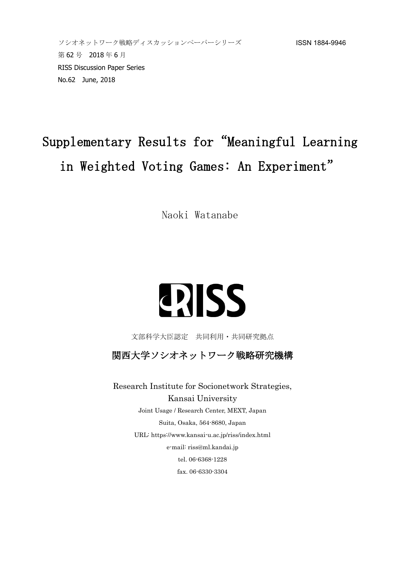# Supplementary Results for"Meaningful Learning in Weighted Voting Games: An Experiment"

Naoki Watanabe

# **ERISS**

文部科学大臣認定 共同利用・共同研究拠点

関西大学ソシオネットワーク戦略研究機構

Research Institute for Socionetwork Strategies, Kansai University Joint Usage / Research Center, MEXT, Japan Suita, Osaka, 564-8680, Japan URL: https://www.kansai-u.ac.jp/riss/index.html e-mail: riss@ml.kandai.jp tel. 06-6368-1228 fax. 06-6330-3304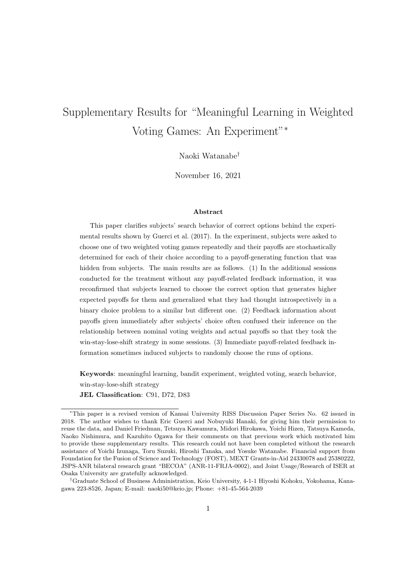# Supplementary Results for "Meaningful Learning in Weighted Voting Games: An Experiment"*<sup>∗</sup>*

Naoki Watanabe*†*

November 16, 2021

#### **Abstract**

This paper clarifies subjects' search behavior of correct options behind the experimental results shown by Guerci et al. (2017). In the experiment, subjects were asked to choose one of two weighted voting games repeatedly and their payoffs are stochastically determined for each of their choice according to a payoff-generating function that was hidden from subjects. The main results are as follows. (1) In the additional sessions conducted for the treatment without any payoff-related feedback information, it was reconfirmed that subjects learned to choose the correct option that generates higher expected payoffs for them and generalized what they had thought introspectively in a binary choice problem to a similar but different one. (2) Feedback information about payoffs given immediately after subjects' choice often confused their inference on the relationship between nominal voting weights and actual payoffs so that they took the win-stay-lose-shift strategy in some sessions. (3) Immediate payoff-related feedback information sometimes induced subjects to randomly choose the runs of options.

**Keywords**: meaningful learning, bandit experiment, weighted voting, search behavior, win-stay-lose-shift strategy

**JEL Classification**: C91, D72, D83

*<sup>∗</sup>*This paper is a revised version of Kansai University RISS Discussion Paper Series No. 62 issued in 2018. The author wishes to thank Eric Guerci and Nobuyuki Hanaki, for giving him their permission to reuse the data, and Daniel Friedman, Tetsuya Kawamura, Midori Hirokawa, Yoichi Hizen, Tatsuya Kameda, Naoko Nishimura, and Kazuhito Ogawa for their comments on that previous work which motivated him to provide these supplementary results. This research could not have been completed without the research assistance of Yoichi Izunaga, Toru Suzuki, Hiroshi Tanaka, and Yosuke Watanabe. Financial support from Foundation for the Fusion of Science and Technology (FOST), MEXT Grants-in-Aid 24330078 and 25380222, JSPS-ANR bilateral research grant "BECOA" (ANR-11-FRJA-0002), and Joint Usage/Research of ISER at Osaka University are gratefully acknowledged.

*<sup>†</sup>*Graduate School of Business Administration, Keio University, 4-1-1 Hiyoshi Kohoku, Yokohama, Kanagawa 223-8526, Japan; E-mail: naoki50@keio.jp; Phone: +81-45-564-2039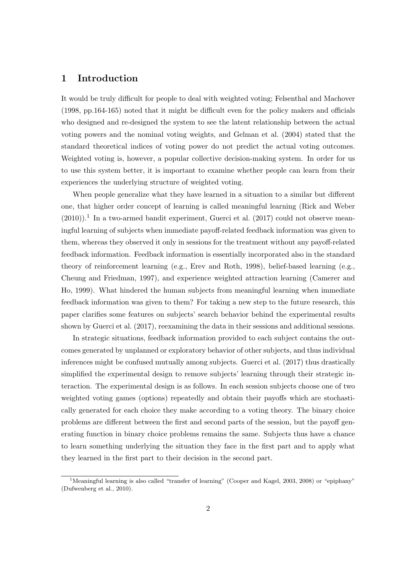# **1 Introduction**

It would be truly difficult for people to deal with weighted voting; Felsenthal and Machover (1998, pp.164-165) noted that it might be difficult even for the policy makers and officials who designed and re-designed the system to see the latent relationship between the actual voting powers and the nominal voting weights, and Gelman et al. (2004) stated that the standard theoretical indices of voting power do not predict the actual voting outcomes. Weighted voting is, however, a popular collective decision-making system. In order for us to use this system better, it is important to examine whether people can learn from their experiences the underlying structure of weighted voting.

When people generalize what they have learned in a situation to a similar but different one, that higher order concept of learning is called meaningful learning (Rick and Weber  $(2010)$ .<sup>1</sup> In a two-armed bandit experiment, Guerci et al.  $(2017)$  could not observe meaningful learning of subjects when immediate payoff-related feedback information was given to them, whereas they observed it only in sessions for the treatment without any payoff-related feedback information. Feedback information is essentially incorporated also in the standard theory of reinforcement learning (e.g., Erev and Roth, 1998), belief-based learning (e.g., Cheung and Friedman, 1997), and experience weighted attraction learning (Camerer and Ho, 1999). What hindered the human subjects from meaningful learning when immediate feedback information was given to them? For taking a new step to the future research, this paper clarifies some features on subjects' search behavior behind the experimental results shown by Guerci et al. (2017), reexamining the data in their sessions and additional sessions.

In strategic situations, feedback information provided to each subject contains the outcomes generated by unplanned or exploratory behavior of other subjects, and thus individual inferences might be confused mutually among subjects. Guerci et al. (2017) thus drastically simplified the experimental design to remove subjects' learning through their strategic interaction. The experimental design is as follows. In each session subjects choose one of two weighted voting games (options) repeatedly and obtain their payoffs which are stochastically generated for each choice they make according to a voting theory. The binary choice problems are different between the first and second parts of the session, but the payoff generating function in binary choice problems remains the same. Subjects thus have a chance to learn something underlying the situation they face in the first part and to apply what they learned in the first part to their decision in the second part.

<sup>&</sup>lt;sup>1</sup>Meaningful learning is also called "transfer of learning" (Cooper and Kagel, 2003, 2008) or "epiphany" (Dufwenberg et al., 2010).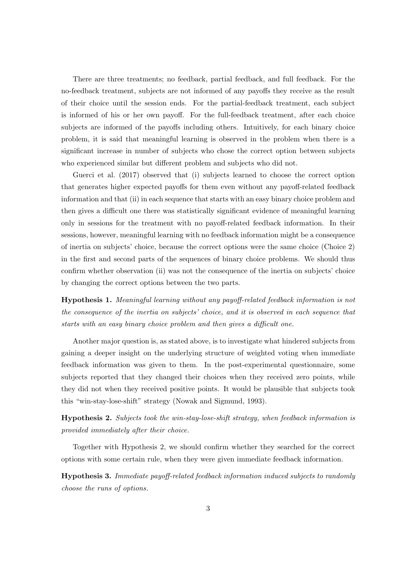There are three treatments; no feedback, partial feedback, and full feedback. For the no-feedback treatment, subjects are not informed of any payoffs they receive as the result of their choice until the session ends. For the partial-feedback treatment, each subject is informed of his or her own payoff. For the full-feedback treatment, after each choice subjects are informed of the payoffs including others. Intuitively, for each binary choice problem, it is said that meaningful learning is observed in the problem when there is a significant increase in number of subjects who chose the correct option between subjects who experienced similar but different problem and subjects who did not.

Guerci et al. (2017) observed that (i) subjects learned to choose the correct option that generates higher expected payoffs for them even without any payoff-related feedback information and that (ii) in each sequence that starts with an easy binary choice problem and then gives a difficult one there was statistically significant evidence of meaningful learning only in sessions for the treatment with no payoff-related feedback information. In their sessions, however, meaningful learning with no feedback information might be a consequence of inertia on subjects' choice, because the correct options were the same choice (Choice 2) in the first and second parts of the sequences of binary choice problems. We should thus confirm whether observation (ii) was not the consequence of the inertia on subjects' choice by changing the correct options between the two parts.

**Hypothesis 1.** *Meaningful learning without any payoff-related feedback information is not the consequence of the inertia on subjects' choice, and it is observed in each sequence that starts with an easy binary choice problem and then gives a difficult one.*

Another major question is, as stated above, is to investigate what hindered subjects from gaining a deeper insight on the underlying structure of weighted voting when immediate feedback information was given to them. In the post-experimental questionnaire, some subjects reported that they changed their choices when they received zero points, while they did not when they received positive points. It would be plausible that subjects took this "win-stay-lose-shift" strategy (Nowak and Sigmund, 1993).

**Hypothesis 2.** *Subjects took the win-stay-lose-shift strategy, when feedback information is provided immediately after their choice.*

Together with Hypothesis 2, we should confirm whether they searched for the correct options with some certain rule, when they were given immediate feedback information.

**Hypothesis 3.** *Immediate payoff-related feedback information induced subjects to randomly choose the runs of options.*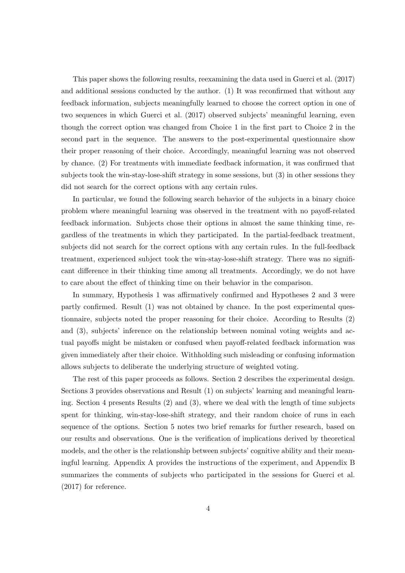This paper shows the following results, reexamining the data used in Guerci et al. (2017) and additional sessions conducted by the author. (1) It was reconfirmed that without any feedback information, subjects meaningfully learned to choose the correct option in one of two sequences in which Guerci et al. (2017) observed subjects' meaningful learning, even though the correct option was changed from Choice 1 in the first part to Choice 2 in the second part in the sequence. The answers to the post-experimental questionnaire show their proper reasoning of their choice. Accordingly, meaningful learning was not observed by chance. (2) For treatments with immediate feedback information, it was confirmed that subjects took the win-stay-lose-shift strategy in some sessions, but (3) in other sessions they did not search for the correct options with any certain rules.

In particular, we found the following search behavior of the subjects in a binary choice problem where meaningful learning was observed in the treatment with no payoff-related feedback information. Subjects chose their options in almost the same thinking time, regardless of the treatments in which they participated. In the partial-feedback treatment, subjects did not search for the correct options with any certain rules. In the full-feedback treatment, experienced subject took the win-stay-lose-shift strategy. There was no significant difference in their thinking time among all treatments. Accordingly, we do not have to care about the effect of thinking time on their behavior in the comparison.

In summary, Hypothesis 1 was affirmatively confirmed and Hypotheses 2 and 3 were partly confirmed. Result (1) was not obtained by chance. In the post experimental questionnaire, subjects noted the proper reasoning for their choice. According to Results (2) and (3), subjects' inference on the relationship between nominal voting weights and actual payoffs might be mistaken or confused when payoff-related feedback information was given immediately after their choice. Withholding such misleading or confusing information allows subjects to deliberate the underlying structure of weighted voting.

The rest of this paper proceeds as follows. Section 2 describes the experimental design. Sections 3 provides observations and Result (1) on subjects' learning and meaningful learning. Section 4 presents Results (2) and (3), where we deal with the length of time subjects spent for thinking, win-stay-lose-shift strategy, and their random choice of runs in each sequence of the options. Section 5 notes two brief remarks for further research, based on our results and observations. One is the verification of implications derived by theoretical models, and the other is the relationship between subjects' cognitive ability and their meaningful learning. Appendix A provides the instructions of the experiment, and Appendix B summarizes the comments of subjects who participated in the sessions for Guerci et al. (2017) for reference.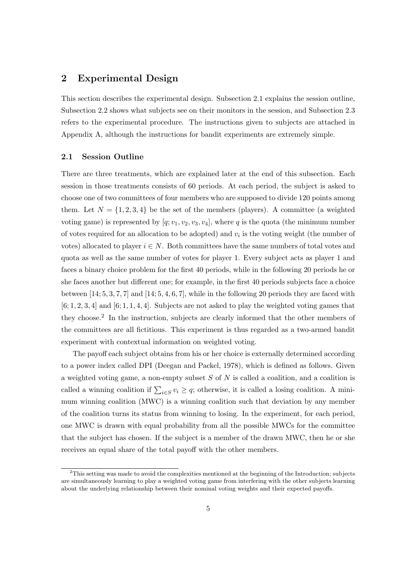# **2 Experimental Design**

This section describes the experimental design. Subsection 2.1 explains the session outline, Subsection 2.2 shows what subjects see on their monitors in the session, and Subsection 2.3 refers to the experimental procedure. The instructions given to subjects are attached in Appendix A, although the instructions for bandit experiments are extremely simple.

#### **2.1 Session Outline**

There are three treatments, which are explained later at the end of this subsection. Each session in those treatments consists of 60 periods. At each period, the subject is asked to choose one of two committees of four members who are supposed to divide 120 points among them. Let  $N = \{1, 2, 3, 4\}$  be the set of the members (players). A committee (a weighted voting game) is represented by  $[q; v_1, v_2, v_3, v_4]$ , where q is the quota (the minimum number of votes required for an allocation to be adopted) and *v<sup>i</sup>* is the voting weight (the number of votes) allocated to player  $i \in N$ . Both committees have the same numbers of total votes and quota as well as the same number of votes for player 1. Every subject acts as player 1 and faces a binary choice problem for the first 40 periods, while in the following 20 periods he or she faces another but different one; for example, in the first 40 periods subjects face a choice between [14; 5*,* 3*,* 7*,* 7] and [14; 5*,* 4*,* 6*,* 7], while in the following 20 periods they are faced with [6; 1*,* 2*,* 3*,* 4] and [6; 1*,* 1*,* 4*,* 4]. Subjects are not asked to play the weighted voting games that they choose.<sup>2</sup> In the instruction, subjects are clearly informed that the other members of the committees are all fictitious. This experiment is thus regarded as a two-armed bandit experiment with contextual information on weighted voting.

The payoff each subject obtains from his or her choice is externally determined according to a power index called DPI (Deegan and Packel, 1978), which is defined as follows. Given a weighted voting game, a non-empty subset *S* of *N* is called a coalition, and a coalition is called a winning coalition if  $\sum_{i \in S} v_i \ge q$ ; otherwise, it is called a losing coalition. A minimum winning coalition (MWC) is a winning coalition such that deviation by any member of the coalition turns its status from winning to losing. In the experiment, for each period, one MWC is drawn with equal probability from all the possible MWCs for the committee that the subject has chosen. If the subject is a member of the drawn MWC, then he or she receives an equal share of the total payoff with the other members.

<sup>&</sup>lt;sup>2</sup>This setting was made to avoid the complexities mentioned at the beginning of the Introduction; subjects are simultaneously learning to play a weighted voting game from interfering with the other subjects learning about the underlying relationship between their nominal voting weights and their expected payoffs.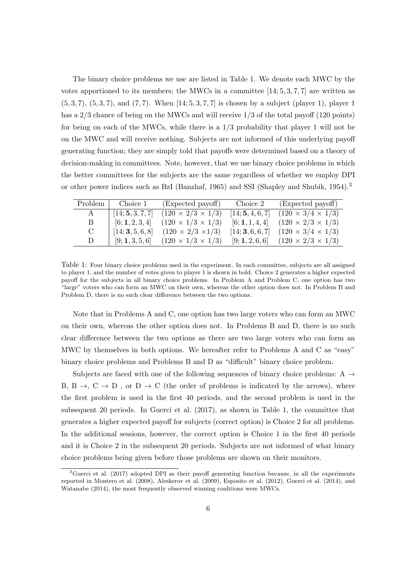The binary choice problems we use are listed in Table 1. We denote each MWC by the votes apportioned to its members; the MWCs in a committee [14; 5*,* 3*,* 7*,* 7] are written as (5*,* 3*,* 7), (5*,* 3*,* 7), and (7*,* 7). When [14; 5*,* 3*,* 7*,* 7] is chosen by a subject (player 1), player 1 has a 2/3 chance of being on the MWCs and will receive  $1/3$  of the total payoff (120 points) for being on each of the MWCs, while there is a  $1/3$  probability that player 1 will not be on the MWC and will receive nothing. Subjects are not informed of this underlying payoff generating function; they are simply told that payoffs were determined based on a theory of decision-making in committees. Note, however, that we use binary choice problems in which the better committees for the subjects are the same regardless of whether we employ DPI or other power indices such as BzI (Banzhaf, 1965) and SSI (Shapley and Shubik, 1954).<sup>3</sup>

| Problem       | Choice 1         | (Expected payoff)             | Choice 2         | (Expected payoff)             |
|---------------|------------------|-------------------------------|------------------|-------------------------------|
| A             | [14; 5, 3, 7, 7] | $(120 \times 2/3 \times 1/3)$ | [14; 5, 4, 6, 7] | $(120 \times 3/4 \times 1/3)$ |
| B             | [6; 1, 2, 3, 4]  | $(120 \times 1/3 \times 1/3)$ | [6;1,1,4,4]      | $(120 \times 2/3 \times 1/3)$ |
| $\mathcal{C}$ | [14; 3, 5, 6, 8] | $(120 \times 2/3 \times 1/3)$ | [14; 3, 6, 6, 7] | $(120 \times 3/4 \times 1/3)$ |
| D             | [9; 1, 3, 5, 6]  | $(120 \times 1/3 \times 1/3)$ | [9;1,2,6,6]      | $(120 \times 2/3 \times 1/3)$ |

Table 1: Four binary choice problems used in the experiment. In each committee, subjects are all assigned to player 1, and the number of votes given to player 1 is shown in bold. Choice 2 generates a higher expected payoff for the subjects in all binary choice problems. In Problem A and Problem C, one option has two "large" voters who can form an MWC on their own, whereas the other option does not. In Problem B and Problem D, there is no such clear difference between the two options.

Note that in Problems A and C, one option has two large voters who can form an MWC on their own, whereas the other option does not. In Problems B and D, there is no such clear difference between the two options as there are two large voters who can form an MWC by themselves in both options. We hereafter refer to Problems A and C as "easy" binary choice problems and Problems B and D as "difficult" binary choice problem.

Subjects are faced with one of the following sequences of binary choice problems: A *→* B,  $B \rightarrow$ ,  $C \rightarrow D$ , or  $D \rightarrow C$  (the order of problems is indicated by the arrows), where the first problem is used in the first 40 periods, and the second problem is used in the subsequent 20 periods. In Guerci et al. (2017), as shown in Table 1, the committee that generates a higher expected payoff for subjects (correct option) is Choice 2 for all problems. In the additional sessions, however, the correct option is Choice 1 in the first 40 periods and it is Choice 2 in the subsequent 20 periods. Subjects are not informed of what binary choice problems being given before those problems are shown on their monitors.

 ${}^{3}$ Guerci et al. (2017) adopted DPI as their payoff generating function because, in all the experiments reported in Montero et al. (2008), Aleskerov et al. (2009), Esposito et al. (2012), Guerci et al. (2014), and Watanabe (2014), the most frequently observed winning coalitions were MWCs.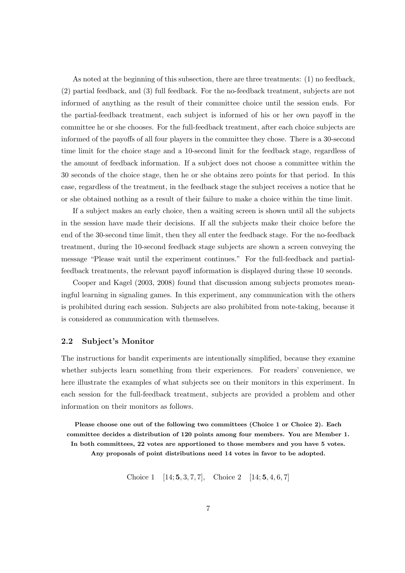As noted at the beginning of this subsection, there are three treatments: (1) no feedback, (2) partial feedback, and (3) full feedback. For the no-feedback treatment, subjects are not informed of anything as the result of their committee choice until the session ends. For the partial-feedback treatment, each subject is informed of his or her own payoff in the committee he or she chooses. For the full-feedback treatment, after each choice subjects are informed of the payoffs of all four players in the committee they chose. There is a 30-second time limit for the choice stage and a 10-second limit for the feedback stage, regardless of the amount of feedback information. If a subject does not choose a committee within the 30 seconds of the choice stage, then he or she obtains zero points for that period. In this case, regardless of the treatment, in the feedback stage the subject receives a notice that he or she obtained nothing as a result of their failure to make a choice within the time limit.

If a subject makes an early choice, then a waiting screen is shown until all the subjects in the session have made their decisions. If all the subjects make their choice before the end of the 30-second time limit, then they all enter the feedback stage. For the no-feedback treatment, during the 10-second feedback stage subjects are shown a screen conveying the message "Please wait until the experiment continues." For the full-feedback and partialfeedback treatments, the relevant payoff information is displayed during these 10 seconds.

Cooper and Kagel (2003, 2008) found that discussion among subjects promotes meaningful learning in signaling games. In this experiment, any communication with the others is prohibited during each session. Subjects are also prohibited from note-taking, because it is considered as communication with themselves.

#### **2.2 Subject's Monitor**

The instructions for bandit experiments are intentionally simplified, because they examine whether subjects learn something from their experiences. For readers' convenience, we here illustrate the examples of what subjects see on their monitors in this experiment. In each session for the full-feedback treatment, subjects are provided a problem and other information on their monitors as follows.

**Please choose one out of the following two committees (Choice 1 or Choice 2). Each committee decides a distribution of 120 points among four members. You are Member 1. In both committees, 22 votes are apportioned to those members and you have 5 votes. Any proposals of point distributions need 14 votes in favor to be adopted.**

Choice 1 [14; **5***,* 3*,* 7*,* 7], Choice 2 [14; **5***,* 4*,* 6*,* 7]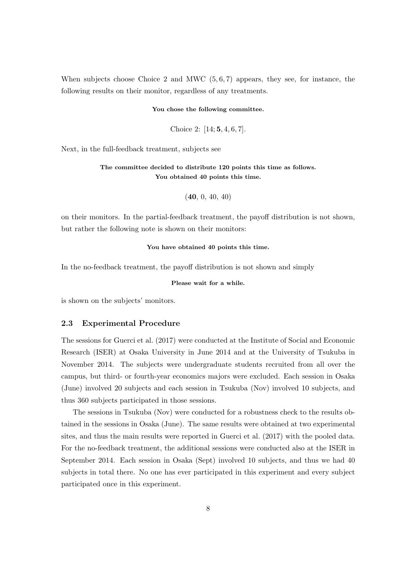When subjects choose Choice 2 and MWC (5*,* 6*,* 7) appears, they see, for instance, the following results on their monitor, regardless of any treatments.

#### **You chose the following committee.**

Choice 2: [14; **5***,* 4*,* 6*,* 7].

Next, in the full-feedback treatment, subjects see

#### **The committee decided to distribute 120 points this time as follows. You obtained 40 points this time.**

```
(40, 0, 40, 40)
```
on their monitors. In the partial-feedback treatment, the payoff distribution is not shown, but rather the following note is shown on their monitors:

#### **You have obtained 40 points this time.**

In the no-feedback treatment, the payoff distribution is not shown and simply

```
Please wait for a while.
```
is shown on the subjects' monitors.

#### **2.3 Experimental Procedure**

The sessions for Guerci et al. (2017) were conducted at the Institute of Social and Economic Research (ISER) at Osaka University in June 2014 and at the University of Tsukuba in November 2014. The subjects were undergraduate students recruited from all over the campus, but third- or fourth-year economics majors were excluded. Each session in Osaka (June) involved 20 subjects and each session in Tsukuba (Nov) involved 10 subjects, and thus 360 subjects participated in those sessions.

The sessions in Tsukuba (Nov) were conducted for a robustness check to the results obtained in the sessions in Osaka (June). The same results were obtained at two experimental sites, and thus the main results were reported in Guerci et al. (2017) with the pooled data. For the no-feedback treatment, the additional sessions were conducted also at the ISER in September 2014. Each session in Osaka (Sept) involved 10 subjects, and thus we had 40 subjects in total there. No one has ever participated in this experiment and every subject participated once in this experiment.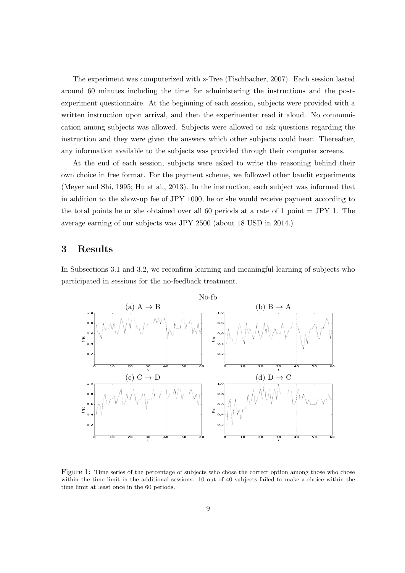The experiment was computerized with z-Tree (Fischbacher, 2007). Each session lasted around 60 minutes including the time for administering the instructions and the postexperiment questionnaire. At the beginning of each session, subjects were provided with a written instruction upon arrival, and then the experimenter read it aloud. No communication among subjects was allowed. Subjects were allowed to ask questions regarding the instruction and they were given the answers which other subjects could hear. Thereafter, any information available to the subjects was provided through their computer screens.

At the end of each session, subjects were asked to write the reasoning behind their own choice in free format. For the payment scheme, we followed other bandit experiments (Meyer and Shi, 1995; Hu et al., 2013). In the instruction, each subject was informed that in addition to the show-up fee of JPY 1000, he or she would receive payment according to the total points he or she obtained over all 60 periods at a rate of 1 point = JPY 1. The average earning of our subjects was JPY 2500 (about 18 USD in 2014.)

# **3 Results**

In Subsections 3.1 and 3.2, we reconfirm learning and meaningful learning of subjects who participated in sessions for the no-feedback treatment.



Figure 1: Time series of the percentage of subjects who chose the correct option among those who chose within the time limit in the additional sessions. 10 out of 40 subjects failed to make a choice within the time limit at least once in the 60 periods.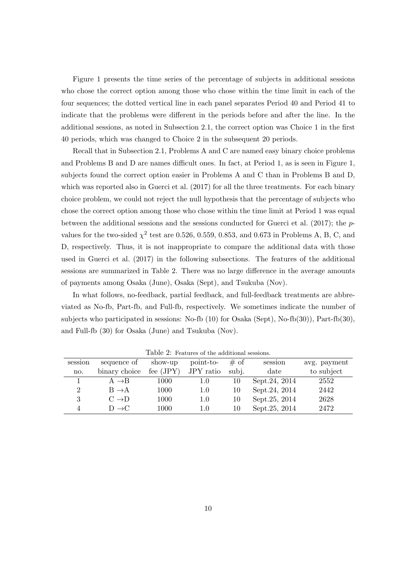Figure 1 presents the time series of the percentage of subjects in additional sessions who chose the correct option among those who chose within the time limit in each of the four sequences; the dotted vertical line in each panel separates Period 40 and Period 41 to indicate that the problems were different in the periods before and after the line. In the additional sessions, as noted in Subsection 2.1, the correct option was Choice 1 in the first 40 periods, which was changed to Choice 2 in the subsequent 20 periods.

Recall that in Subsection 2.1, Problems A and C are named easy binary choice problems and Problems B and D are names difficult ones. In fact, at Period 1, as is seen in Figure 1, subjects found the correct option easier in Problems A and C than in Problems B and D, which was reported also in Guerci et al.  $(2017)$  for all the three treatments. For each binary choice problem, we could not reject the null hypothesis that the percentage of subjects who chose the correct option among those who chose within the time limit at Period 1 was equal between the additional sessions and the sessions conducted for Guerci et al. (2017); the *p*values for the two-sided  $\chi^2$  test are 0.526, 0.559, 0.853, and 0.673 in Problems A, B, C, and D, respectively. Thus, it is not inappropriate to compare the additional data with those used in Guerci et al. (2017) in the following subsections. The features of the additional sessions are summarized in Table 2. There was no large difference in the average amounts of payments among Osaka (June), Osaka (Sept), and Tsukuba (Nov).

In what follows, no-feedback, partial feedback, and full-feedback treatments are abbreviated as No-fb, Part-fb, and Full-fb, respectively. We sometimes indicate the number of subjects who participated in sessions: No-fb (10) for Osaka (Sept), No-fb(30)), Part-fb(30), and Full-fb (30) for Osaka (June) and Tsukuba (Nov).

| session | sequence of       | show-up     | point-to- | $\#$ of | session        | avg. payment |
|---------|-------------------|-------------|-----------|---------|----------------|--------------|
| no.     | binary choice     | fee $(JPY)$ | JPY ratio | subj.   | date           | to subject   |
|         | $A \rightarrow B$ | 1000        | 1.0       | 10      | Sept. 24, 2014 | 2552         |
| 2       | $B \rightarrow A$ | 1000        | 1.0       | 10      | Sept. 24, 2014 | 2442         |
| 3       | $C \rightarrow D$ | 1000        | 1.0       | 10      | Sept. 25, 2014 | 2628         |
|         | $D \rightarrow C$ | 1000        | 1.0       | 10      | Sept.25, 2014  | 2472         |
|         |                   |             |           |         |                |              |

Table 2: Features of the additional sessions.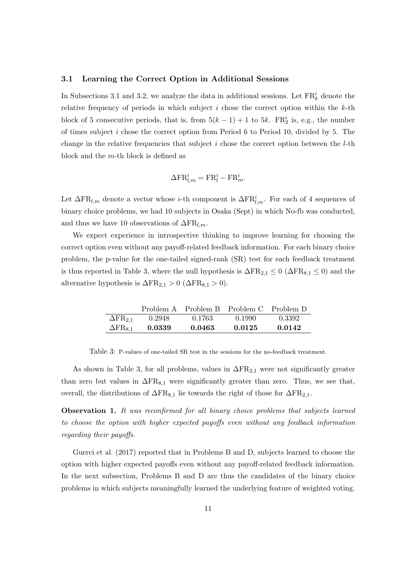#### **3.1 Learning the Correct Option in Additional Sessions**

In Subsections 3.1 and 3.2, we analyze the data in additional sessions. Let  $\text{FR}_k^i$  denote the relative frequency of periods in which subject *i* chose the correct option within the *k*-th block of 5 consecutive periods, that is, from  $5(k-1) + 1$  to  $5k$ . FR<sup>i</sup><sub>2</sub> is, e.g., the number of times subject *i* chose the correct option from Period 6 to Period 10, divided by 5. The change in the relative frequencies that subject *i* chose the correct option between the *l*-th block and the *m*-th block is defined as

$$
\Delta \mathbf{FR}_{l,m}^i = \mathbf{FR}_l^i - \mathbf{FR}_m^i.
$$

Let  $\Delta \text{FR}_{l,m}$  denote a vector whose *i*-th component is  $\Delta \text{FR}_{l,m}^i$ . For each of 4 sequences of binary choice problems, we had 10 subjects in Osaka (Sept) in which No-fb was conducted, and thus we have 10 observations of  $\Delta \text{FR}_{l,m}$ .

We expect experience in introspective thinking to improve learning for choosing the correct option even without any payoff-related feedback information. For each binary choice problem, the p-value for the one-tailed signed-rank (SR) test for each feedback treatment is thus reported in Table 3, where the null hypothesis is  $\Delta FR_{2,1} \leq 0$  ( $\Delta FR_{8,1} \leq 0$ ) and the alternative hypothesis is  $\Delta FR_{2,1} > 0$  ( $\Delta FR_{8,1} > 0$ ).

|                            |        | Problem A Problem B Problem C |        | Problem D |
|----------------------------|--------|-------------------------------|--------|-----------|
| $\Delta$ FR <sub>2,1</sub> | 0.2948 | 0.1763                        | 0.1990 | 0.3392    |
| $\Delta$ FR <sub>8.1</sub> | 0.0339 | 0.0463                        | 0.0125 | 0.0142    |

Table 3: P-values of one-tailed SR test in the sessions for the no-feedback treatment.

As shown in Table 3, for all problems, values in ∆FR2*,*<sup>1</sup> were not significantly greater than zero but values in  $\Delta FR_{8,1}$  were significantly greater than zero. Thus, we see that, overall, the distributions of  $\Delta FR_{8,1}$  lie towards the right of those for  $\Delta FR_{2,1}$ .

**Observation 1.** *It was reconfirmed for all binary choice problems that subjects learned to choose the option with higher expected payoffs even without any feedback information regarding their payoffs.*

Guerci et al. (2017) reported that in Problems B and D, subjects learned to choose the option with higher expected payoffs even without any payoff-related feedback information. In the next subsection, Problems B and D are thus the candidates of the binary choice problems in which subjects meaningfully learned the underlying feature of weighted voting.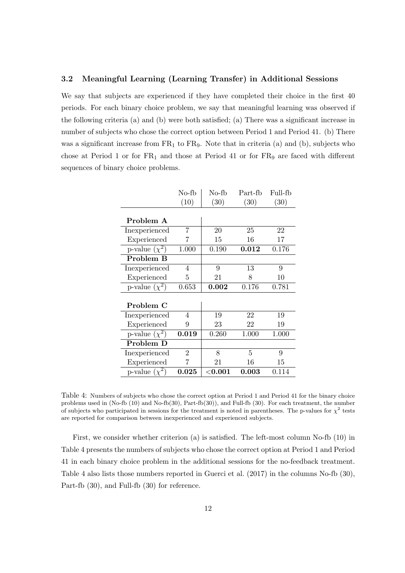#### **3.2 Meaningful Learning (Learning Transfer) in Additional Sessions**

We say that subjects are experienced if they have completed their choice in the first 40 periods. For each binary choice problem, we say that meaningful learning was observed if the following criteria (a) and (b) were both satisfied; (a) There was a significant increase in number of subjects who chose the correct option between Period 1 and Period 41. (b) There was a significant increase from  $FR_1$  to  $FR_9$ . Note that in criteria (a) and (b), subjects who chose at Period 1 or for  $FR_1$  and those at Period 41 or for  $FR_9$  are faced with different sequences of binary choice problems.

|                    | No-fb          | No-fb       | Part-fb | Full-fb |
|--------------------|----------------|-------------|---------|---------|
|                    | (10)           | (30)        | (30)    | (30)    |
|                    |                |             |         |         |
| Problem A          |                |             |         |         |
| Inexperienced      | 7              | 20          | 25      | 22      |
| Experienced        | 7              | 15          | 16      | 17      |
| p-value $(\chi^2)$ | 1.000          | 0.190       | 0.012   | 0.176   |
| Problem B          |                |             |         |         |
| Inexperienced      | 4              | 9           | 13      | 9       |
| Experienced        | 5              | 21          | 8       | 10      |
| p-value $(\chi^2)$ | 0.653          | 0.002       | 0.176   | 0.781   |
|                    |                |             |         |         |
| Problem C          |                |             |         |         |
| Inexperienced      | 4              | 19          | 22      | 19      |
| Experienced        | 9              | 23          | 22      | 19      |
| p-value $(\chi^2)$ | 0.019          | 0.260       | 1.000   | 1.000   |
| Problem D          |                |             |         |         |
| Inexperienced      | $\overline{2}$ | 8           | 5       | 9       |
| Experienced        | 7              | 21          | 16      | 15      |
| p-value $(\chi^2)$ | 0.025          | $<$ $0.001$ | 0.003   | 0.114   |

Table 4: Numbers of subjects who chose the correct option at Period 1 and Period 41 for the binary choice problems used in (No-fb (10) and No-fb(30), Part-fb(30)), and Full-fb (30). For each treatment, the number of subjects who participated in sessions for the treatment is noted in parentheses. The p-values for  $\chi^2$  tests are reported for comparison between inexperienced and experienced subjects.

First, we consider whether criterion (a) is satisfied. The left-most column No-fb (10) in Table 4 presents the numbers of subjects who chose the correct option at Period 1 and Period 41 in each binary choice problem in the additional sessions for the no-feedback treatment. Table 4 also lists those numbers reported in Guerci et al. (2017) in the columns No-fb (30), Part-fb (30), and Full-fb (30) for reference.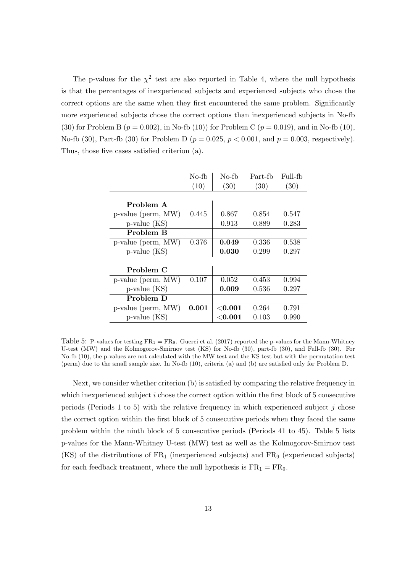The p-values for the  $\chi^2$  test are also reported in Table 4, where the null hypothesis is that the percentages of inexperienced subjects and experienced subjects who chose the correct options are the same when they first encountered the same problem. Significantly more experienced subjects chose the correct options than inexperienced subjects in No-fb (30) for Problem B  $(p = 0.002)$ , in No-fb (10)) for Problem C  $(p = 0.019)$ , and in No-fb (10), No-fb (30), Part-fb (30) for Problem D ( $p = 0.025$ ,  $p < 0.001$ , and  $p = 0.003$ , respectively). Thus, those five cases satisfied criterion (a).

|                    | No-fb | No-fb      | Part-fb | Full-fb |
|--------------------|-------|------------|---------|---------|
|                    | (10)  | (30)       | (30)    | (30)    |
|                    |       |            |         |         |
| Problem A          |       |            |         |         |
| p-value (perm, MW) | 0.445 | 0.867      | 0.854   | 0.547   |
| $p$ -value $(KS)$  |       | 0.913      | 0.889   | 0.283   |
| Problem B          |       |            |         |         |
| p-value (perm, MW) | 0.376 | 0.049      | 0.336   | 0.538   |
| $p$ -value $(KS)$  |       | 0.030      | 0.299   | 0.297   |
|                    |       |            |         |         |
| Problem C          |       |            |         |         |
| p-value (perm, MW) | 0.107 | 0.052      | 0.453   | 0.994   |
| $p$ -value $(KS)$  |       | 0.009      | 0.536   | 0.297   |
| Problem D          |       |            |         |         |
| p-value (perm, MW) | 0.001 | ${<}0.001$ | 0.264   | 0.791   |
| $p$ -value $(KS)$  |       | ${<}0.001$ | 0.103   | 0.990   |

Table 5: P-values for testing  $FR_1 = FR_9$ . Guerci et al. (2017) reported the p-values for the Mann-Whitney U-test (MW) and the Kolmogorov-Smirnov test (KS) for No-fb (30), part-fb (30), and Full-fb (30). For No-fb (10), the p-values are not calculated with the MW test and the KS test but with the permutation test (perm) due to the small sample size. In No-fb (10), criteria (a) and (b) are satisfied only for Problem D.

Next, we consider whether criterion (b) is satisfied by comparing the relative frequency in which inexperienced subject *i* chose the correct option within the first block of 5 consecutive periods (Periods 1 to 5) with the relative frequency in which experienced subject *j* chose the correct option within the first block of 5 consecutive periods when they faced the same problem within the ninth block of 5 consecutive periods (Periods 41 to 45). Table 5 lists p-values for the Mann-Whitney U-test (MW) test as well as the Kolmogorov-Smirnov test (KS) of the distributions of  $FR_1$  (inexperienced subjects) and  $FR_9$  (experienced subjects) for each feedback treatment, where the null hypothesis is  $FR_1 = FR_9$ .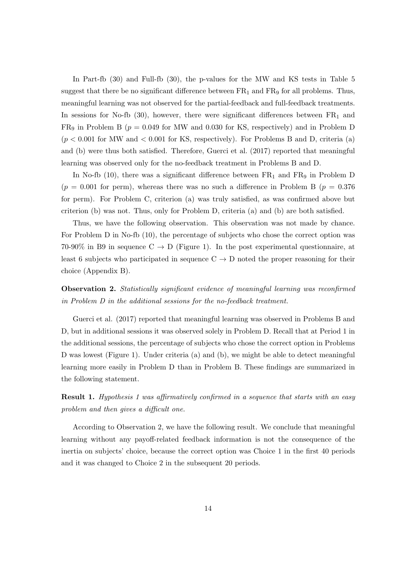In Part-fb (30) and Full-fb (30), the p-values for the MW and KS tests in Table 5 suggest that there be no significant difference between  $FR_1$  and  $FR_9$  for all problems. Thus, meaningful learning was not observed for the partial-feedback and full-feedback treatments. In sessions for No-fb  $(30)$ , however, there were significant differences between  $FR<sub>1</sub>$  and  $FR<sub>9</sub>$  in Problem B ( $p = 0.049$  for MW and 0.030 for KS, respectively) and in Problem D  $(p < 0.001$  for MW and  $< 0.001$  for KS, respectively). For Problems B and D, criteria (a) and (b) were thus both satisfied. Therefore, Guerci et al. (2017) reported that meaningful learning was observed only for the no-feedback treatment in Problems B and D.

In No-fb (10), there was a significant difference between  $FR_1$  and  $FR_9$  in Problem D  $(p = 0.001$  for perm), whereas there was no such a difference in Problem B  $(p = 0.376$ for perm). For Problem C, criterion (a) was truly satisfied, as was confirmed above but criterion (b) was not. Thus, only for Problem D, criteria (a) and (b) are both satisfied.

Thus, we have the following observation. This observation was not made by chance. For Problem D in No-fb (10), the percentage of subjects who chose the correct option was 70-90% in B9 in sequence C *→* D (Figure 1). In the post experimental questionnaire, at least 6 subjects who participated in sequence  $C \rightarrow D$  noted the proper reasoning for their choice (Appendix B).

**Observation 2.** *Statistically significant evidence of meaningful learning was reconfirmed in Problem D in the additional sessions for the no-feedback treatment.*

Guerci et al. (2017) reported that meaningful learning was observed in Problems B and D, but in additional sessions it was observed solely in Problem D. Recall that at Period 1 in the additional sessions, the percentage of subjects who chose the correct option in Problems D was lowest (Figure 1). Under criteria (a) and (b), we might be able to detect meaningful learning more easily in Problem D than in Problem B. These findings are summarized in the following statement.

**Result 1.** *Hypothesis 1 was affirmatively confirmed in a sequence that starts with an easy problem and then gives a difficult one.*

According to Observation 2, we have the following result. We conclude that meaningful learning without any payoff-related feedback information is not the consequence of the inertia on subjects' choice, because the correct option was Choice 1 in the first 40 periods and it was changed to Choice 2 in the subsequent 20 periods.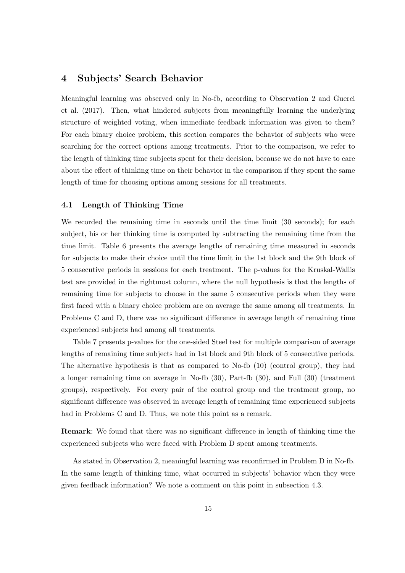### **4 Subjects' Search Behavior**

Meaningful learning was observed only in No-fb, according to Observation 2 and Guerci et al. (2017). Then, what hindered subjects from meaningfully learning the underlying structure of weighted voting, when immediate feedback information was given to them? For each binary choice problem, this section compares the behavior of subjects who were searching for the correct options among treatments. Prior to the comparison, we refer to the length of thinking time subjects spent for their decision, because we do not have to care about the effect of thinking time on their behavior in the comparison if they spent the same length of time for choosing options among sessions for all treatments.

#### **4.1 Length of Thinking Time**

We recorded the remaining time in seconds until the time limit (30 seconds); for each subject, his or her thinking time is computed by subtracting the remaining time from the time limit. Table 6 presents the average lengths of remaining time measured in seconds for subjects to make their choice until the time limit in the 1st block and the 9th block of 5 consecutive periods in sessions for each treatment. The p-values for the Kruskal-Wallis test are provided in the rightmost column, where the null hypothesis is that the lengths of remaining time for subjects to choose in the same 5 consecutive periods when they were first faced with a binary choice problem are on average the same among all treatments. In Problems C and D, there was no significant difference in average length of remaining time experienced subjects had among all treatments.

Table 7 presents p-values for the one-sided Steel test for multiple comparison of average lengths of remaining time subjects had in 1st block and 9th block of 5 consecutive periods. The alternative hypothesis is that as compared to No-fb (10) (control group), they had a longer remaining time on average in No-fb (30), Part-fb (30), and Full (30) (treatment groups), respectively. For every pair of the control group and the treatment group, no significant difference was observed in average length of remaining time experienced subjects had in Problems C and D. Thus, we note this point as a remark.

**Remark**: We found that there was no significant difference in length of thinking time the experienced subjects who were faced with Problem D spent among treatments.

As stated in Observation 2, meaningful learning was reconfirmed in Problem D in No-fb. In the same length of thinking time, what occurred in subjects' behavior when they were given feedback information? We note a comment on this point in subsection 4.3.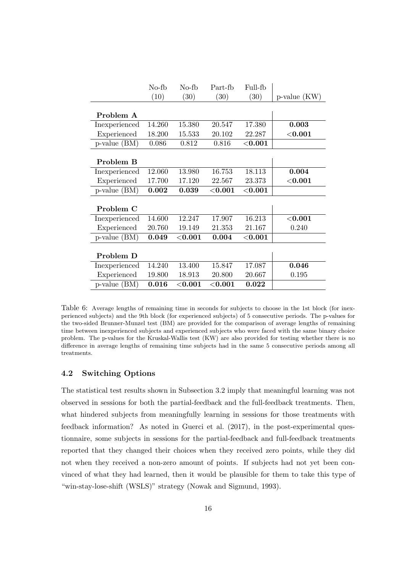|                   | No-fb  | No-fb      | Part-fb   | Full-fb    |                   |
|-------------------|--------|------------|-----------|------------|-------------------|
|                   | (10)   | (30)       | (30)      | (30)       | $p$ -value $(KW)$ |
|                   |        |            |           |            |                   |
| Problem A         |        |            |           |            |                   |
| Inexperienced     | 14.260 | 15.380     | 20.547    | 17.380     | 0.003             |
| Experienced       | 18.200 | 15.533     | 20.102    | 22.287     | ${<}0.001$        |
| $p$ -value $(BM)$ | 0.086  | 0.812      | 0.816     | $<$ 0.001  |                   |
|                   |        |            |           |            |                   |
| Problem B         |        |            |           |            |                   |
| Inexperienced     | 12.060 | 13.980     | 16.753    | 18.113     | 0.004             |
| Experienced       | 17.700 | 17.120     | 22.567    | 23.373     | ${<}0.001$        |
| $p$ -value $(BM)$ | 0.002  | 0.039      | $<$ 0.001 | $<$ 0.001  |                   |
|                   |        |            |           |            |                   |
| Problem C         |        |            |           |            |                   |
| Inexperienced     | 14.600 | 12.247     | 17.907    | 16.213     | ${<}0.001$        |
| Experienced       | 20.760 | 19.149     | 21.353    | 21.167     | 0.240             |
| p-value (BM)      | 0.049  | ${<}0.001$ | 0.004     | ${<}0.001$ |                   |
|                   |        |            |           |            |                   |
| Problem D         |        |            |           |            |                   |
| Inexperienced     | 14.240 | 13.400     | 15.847    | 17.087     | 0.046             |
| Experienced       | 19.800 | 18.913     | 20.800    | 20.667     | 0.195             |
| $p$ -value $(BM)$ | 0.016  | ${<}0.001$ | $<$ 0.001 | 0.022      |                   |

Table 6: Average lengths of remaining time in seconds for subjects to choose in the 1st block (for inexperienced subjects) and the 9th block (for experienced subjects) of 5 consecutive periods. The p-values for the two-sided Brunner-Munzel test (BM) are provided for the comparison of average lengths of remaining time between inexperienced subjects and experienced subjects who were faced with the same binary choice problem. The p-values for the Kruskal-Wallis test (KW) are also provided for testing whether there is no difference in average lengths of remaining time subjects had in the same 5 consecutive periods among all treatments.

#### **4.2 Switching Options**

The statistical test results shown in Subsection 3.2 imply that meaningful learning was not observed in sessions for both the partial-feedback and the full-feedback treatments. Then, what hindered subjects from meaningfully learning in sessions for those treatments with feedback information? As noted in Guerci et al. (2017), in the post-experimental questionnaire, some subjects in sessions for the partial-feedback and full-feedback treatments reported that they changed their choices when they received zero points, while they did not when they received a non-zero amount of points. If subjects had not yet been convinced of what they had learned, then it would be plausible for them to take this type of "win-stay-lose-shift (WSLS)" strategy (Nowak and Sigmund, 1993).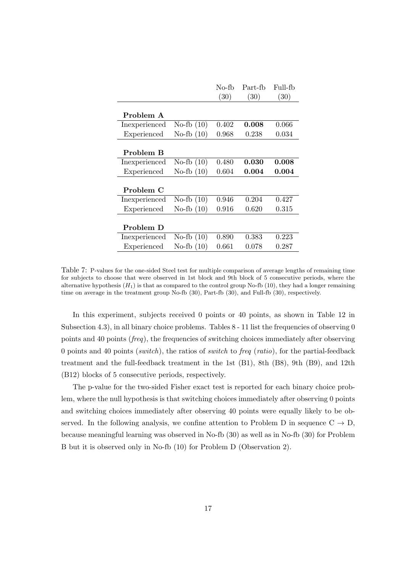|               |              | No-fb | Part-fb     | Full-fb |
|---------------|--------------|-------|-------------|---------|
|               |              | (30)  | (30)        | (30)    |
| Problem A     |              |       |             |         |
| Inexperienced | No-fb $(10)$ | 0.402 | 0.008       | 0.066   |
| Experienced   | No-fb $(10)$ | 0.968 | 0.238       | 0.034   |
| Problem B     |              |       |             |         |
| Inexperienced | No-fb $(10)$ | 0.480 | 0.030       | 0.008   |
| Experienced   | No-fb $(10)$ | 0.604 | $\,0.004\,$ | 0.004   |
| Problem C     |              |       |             |         |
| Inexperienced | No-fb $(10)$ | 0.946 | 0.204       | 0.427   |
| Experienced   | No-fb $(10)$ | 0.916 | 0.620       | 0.315   |
| Problem D     |              |       |             |         |
| Inexperienced | No-fb $(10)$ | 0.890 | 0.383       | 0.223   |
| Experienced   | No-fb $(10)$ | 0.661 | 0.078       | 0.287   |

Table 7: P-values for the one-sided Steel test for multiple comparison of average lengths of remaining time for subjects to choose that were observed in 1st block and 9th block of 5 consecutive periods, where the alternative hypothesis  $(H_1)$  is that as compared to the control group No-fb (10), they had a longer remaining time on average in the treatment group No-fb (30), Part-fb (30), and Full-fb (30), respectively.

In this experiment, subjects received 0 points or 40 points, as shown in Table 12 in Subsection 4.3), in all binary choice problems. Tables 8 - 11 list the frequencies of observing 0 points and 40 points (*freq*), the frequencies of switching choices immediately after observing 0 points and 40 points (*switch*), the ratios of *switch* to *freq* (*ratio*), for the partial-feedback treatment and the full-feedback treatment in the 1st (B1), 8th (B8), 9th (B9), and 12th (B12) blocks of 5 consecutive periods, respectively.

The p-value for the two-sided Fisher exact test is reported for each binary choice problem, where the null hypothesis is that switching choices immediately after observing 0 points and switching choices immediately after observing 40 points were equally likely to be observed. In the following analysis, we confine attention to Problem D in sequence  $C \rightarrow D$ , because meaningful learning was observed in No-fb (30) as well as in No-fb (30) for Problem B but it is observed only in No-fb (10) for Problem D (Observation 2).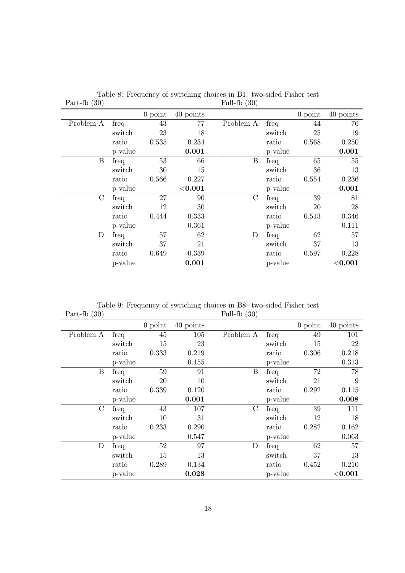| $-1$<br>$\sqrt{2}$ |         |           |            | $\sqrt{2}$    |         |           |            |
|--------------------|---------|-----------|------------|---------------|---------|-----------|------------|
|                    |         | $0$ point | 40 points  |               |         | $0$ point | 40 points  |
| Problem A          | freq    | 43        | 77         | Problem A     | freq    | 44        | 76         |
|                    | switch  | 23        | 18         |               | switch  | 25        | 19         |
|                    | ratio   | 0.535     | 0.234      |               | ratio   | 0.568     | 0.250      |
|                    | p-value |           | 0.001      |               | p-value |           | 0.001      |
| B                  | freq    | 53        | 66         | B             | freq    | 65        | 55         |
|                    | switch  | 30        | 15         |               | switch  | 36        | 13         |
|                    | ratio   | 0.566     | 0.227      |               | ratio   | 0.554     | 0.236      |
|                    | p-value |           | ${<}0.001$ |               | p-value |           | 0.001      |
| $\rm C$            | freq    | 27        | 90         | $\mathcal{C}$ | freq    | 39        | 81         |
|                    | switch  | 12        | 30         |               | switch  | 20        | 28         |
|                    | ratio   | 0.444     | 0.333      |               | ratio   | 0.513     | 0.346      |
|                    | p-value |           | 0.361      |               | p-value |           | 0.111      |
| $\mathbf D$        | freq    | 57        | 62         | $\mathbf D$   | freq    | 62        | 57         |
|                    | switch  | 37        | 21         |               | switch  | 37        | 13         |
|                    | ratio   | 0.649     | 0.339      |               | ratio   | 0.597     | 0.228      |
|                    | p-value |           | 0.001      |               | p-value |           | ${<}0.001$ |

Table 8: Frequency of switching choices in B1: two-sided Fisher test Part-fb  $(30)$  Full-fb  $(30)$ 

Table 9: Frequency of switching choices in B8: two-sided Fisher test Part-fb  $(30)$  Full-fb  $(30)$ 

| $\sqrt{2}$    |         |           |           | $\sqrt{2}$       |         |           |             |
|---------------|---------|-----------|-----------|------------------|---------|-----------|-------------|
|               |         | $0$ point | 40 points |                  |         | $0$ point | 40 points   |
| Problem A     | freq    | 45        | 105       | Problem A        | freq    | 49        | 101         |
|               | switch  | 15        | 23        |                  | switch  | 15        | 22          |
|               | ratio   | 0.333     | 0.219     |                  | ratio   | 0.306     | 0.218       |
|               | p-value |           | 0.155     |                  | p-value |           | 0.313       |
| B             | freq    | 59        | 91        | $\boldsymbol{B}$ | freq    | 72        | 78          |
|               | switch  | 20        | 10        |                  | switch  | 21        | 9           |
|               | ratio   | 0.339     | 0.120     |                  | ratio   | 0.292     | 0.115       |
|               | p-value |           | 0.001     |                  | p-value |           | 0.008       |
| $\mathcal{C}$ | freq    | 43        | 107       | $\mathcal{C}$    | freq    | 39        | 111         |
|               | switch  | 10        | 31        |                  | switch  | 12        | 18          |
|               | ratio   | 0.233     | 0.290     |                  | ratio   | 0.282     | 0.162       |
|               | p-value |           | 0.547     |                  | p-value |           | 0.063       |
| D             | freq    | 52        | 97        | D                | freq    | 62        | 57          |
|               | switch  | 15        | 13        |                  | switch  | 37        | 13          |
|               | ratio   | 0.289     | 0.134     |                  | ratio   | 0.452     | 0.210       |
|               | p-value |           | 0.028     |                  | p-value |           | $<$ $0.001$ |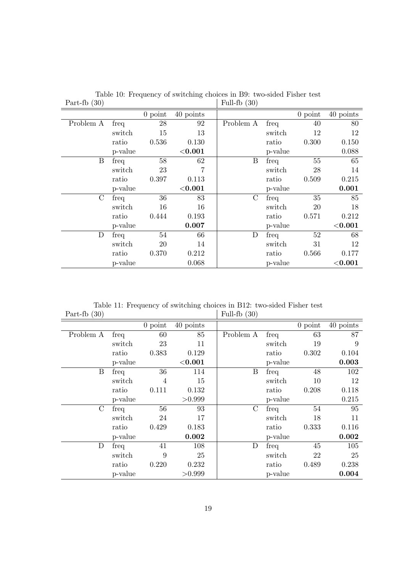| $\cdots$<br>$\sqrt{2}$ |         |           |           | $\sqrt{2}$       |         |           |              |
|------------------------|---------|-----------|-----------|------------------|---------|-----------|--------------|
|                        |         | $0$ point | 40 points |                  |         | $0$ point | 40 points    |
| Problem A              | freq    | 28        | 92        | Problem A        | freq    | 40        | 80           |
|                        | switch  | 15        | 13        |                  | switch  | 12        | 12           |
|                        | ratio   | 0.536     | 0.130     |                  | ratio   | 0.300     | 0.150        |
|                        | p-value |           | $<$ 0.001 |                  | p-value |           | 0.088        |
| B                      | freq    | 58        | 62        | $\boldsymbol{B}$ | freq    | 55        | 65           |
|                        | switch  | 23        |           |                  | switch  | 28        | 14           |
|                        | ratio   | 0.397     | 0.113     |                  | ratio   | 0.509     | 0.215        |
|                        | p-value |           | $<$ 0.001 |                  | p-value |           | 0.001        |
| $\mathcal{C}$          | freq    | 36        | 83        | $\mathcal{C}$    | freq    | 35        | 85           |
|                        | switch  | 16        | 16        |                  | switch  | 20        | 18           |
|                        | ratio   | 0.444     | 0.193     |                  | ratio   | 0.571     | 0.212        |
|                        | p-value |           | 0.007     |                  | p-value |           | $<\!\!0.001$ |
| D                      | freq    | 54        | 66        | D                | freq    | 52        | 68           |
|                        | switch  | 20        | 14        |                  | switch  | 31        | 12           |
|                        | ratio   | 0.370     | 0.212     |                  | ratio   | 0.566     | 0.177        |
|                        | p-value |           | 0.068     |                  | p-value |           | ${<}0.001$   |

Table 10: Frequency of switching choices in B9: two-sided Fisher test Part-fb  $(30)$  Full-fb  $(30)$ 

Table 11: Frequency of switching choices in B12: two-sided Fisher test Part-fb (30)  $\qquad \qquad \mid$  Full-fb (30) | Full-fb  $(30)$ 

| $\sqrt{2}$    |         |           |            | $\sim$           |         |           |           |
|---------------|---------|-----------|------------|------------------|---------|-----------|-----------|
|               |         | $0$ point | 40 points  |                  |         | $0$ point | 40 points |
| Problem A     | freq    | 60        | 85         | Problem A        | freq    | 63        | 87        |
|               | switch  | 23        | 11         |                  | switch  | 19        | 9         |
|               | ratio   | 0.383     | 0.129      |                  | ratio   | 0.302     | 0.104     |
|               | p-value |           | ${<}0.001$ |                  | p-value |           | 0.003     |
| B             | freq    | 36        | 114        | $\boldsymbol{B}$ | freq    | 48        | 102       |
|               | switch  | 4         | 15         |                  | switch  | 10        | 12        |
|               | ratio   | 0.111     | 0.132      |                  | ratio   | 0.208     | 0.118     |
|               | p-value |           | >0.999     |                  | p-value |           | 0.215     |
| $\mathcal{C}$ | freq    | 56        | 93         | $\mathcal{C}$    | freq    | 54        | 95        |
|               | switch  | 24        | 17         |                  | switch  | 18        | 11        |
|               | ratio   | 0.429     | 0.183      |                  | ratio   | 0.333     | 0.116     |
|               | p-value |           | 0.002      |                  | p-value |           | 0.002     |
| D             | freq    | 41        | 108        | $\mathbf D$      | freq    | 45        | 105       |
|               | switch  | 9         | 25         |                  | switch  | 22        | 25        |
|               | ratio   | 0.220     | 0.232      |                  | ratio   | 0.489     | 0.238     |
|               | p-value |           | > 0.999    |                  | p-value |           | 0.004     |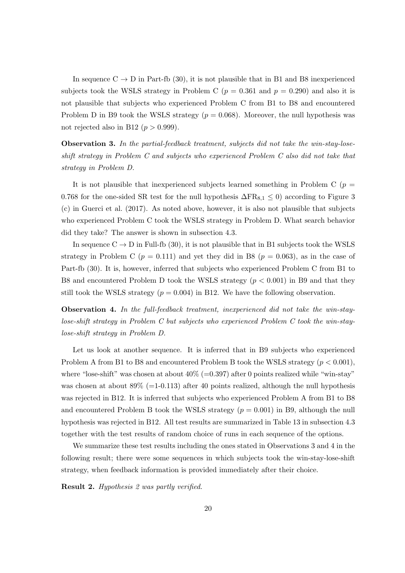In sequence  $C \rightarrow D$  in Part-fb (30), it is not plausible that in B1 and B8 inexperienced subjects took the WSLS strategy in Problem C ( $p = 0.361$  and  $p = 0.290$ ) and also it is not plausible that subjects who experienced Problem C from B1 to B8 and encountered Problem D in B9 took the WSLS strategy  $(p = 0.068)$ . Moreover, the null hypothesis was not rejected also in B12  $(p > 0.999)$ .

**Observation 3.** *In the partial-feedback treatment, subjects did not take the win-stay-loseshift strategy in Problem C and subjects who experienced Problem C also did not take that strategy in Problem D.*

It is not plausible that inexperienced subjects learned something in Problem C ( $p =$ 0.768 for the one-sided SR test for the null hypothesis  $\Delta FR_{8,1} \leq 0$ ) according to Figure 3 (c) in Guerci et al. (2017). As noted above, however, it is also not plausible that subjects who experienced Problem C took the WSLS strategy in Problem D. What search behavior did they take? The answer is shown in subsection 4.3.

In sequence  $C \rightarrow D$  in Full-fb (30), it is not plausible that in B1 subjects took the WSLS strategy in Problem C ( $p = 0.111$ ) and yet they did in B8 ( $p = 0.063$ ), as in the case of Part-fb (30). It is, however, inferred that subjects who experienced Problem C from B1 to B8 and encountered Problem D took the WSLS strategy (*p <* 0*.*001) in B9 and that they still took the WSLS strategy  $(p = 0.004)$  in B12. We have the following observation.

**Observation 4.** *In the full-feedback treatment, inexperienced did not take the win-staylose-shift strategy in Problem C but subjects who experienced Problem C took the win-staylose-shift strategy in Problem D.*

Let us look at another sequence. It is inferred that in B9 subjects who experienced Problem A from B1 to B8 and encountered Problem B took the WSLS strategy (*p <* 0*.*001), where "lose-shift" was chosen at about  $40\%$  (=0.397) after 0 points realized while "win-stay" was chosen at about  $89\%$  (=1-0.113) after 40 points realized, although the null hypothesis was rejected in B12. It is inferred that subjects who experienced Problem A from B1 to B8 and encountered Problem B took the WSLS strategy  $(p = 0.001)$  in B9, although the null hypothesis was rejected in B12. All test results are summarized in Table 13 in subsection 4.3 together with the test results of random choice of runs in each sequence of the options.

We summarize these test results including the ones stated in Observations 3 and 4 in the following result; there were some sequences in which subjects took the win-stay-lose-shift strategy, when feedback information is provided immediately after their choice.

**Result 2.** *Hypothesis 2 was partly verified.*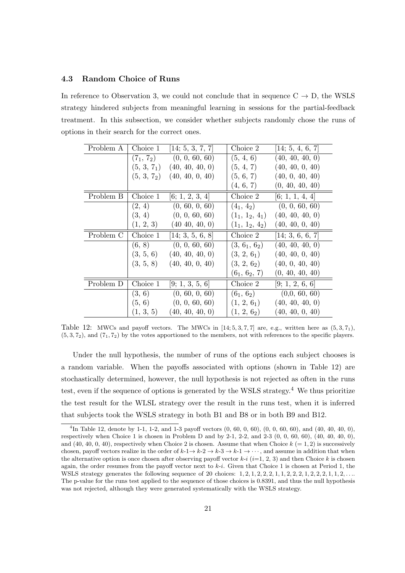#### **4.3 Random Choice of Runs**

In reference to Observation 3, we could not conclude that in sequence  $C \rightarrow D$ , the WSLS strategy hindered subjects from meaningful learning in sessions for the partial-feedback treatment. In this subsection, we consider whether subjects randomly chose the runs of options in their search for the correct ones.

| Problem A | Choice 1                | [14; 5, 3, 7, 7]  | Choice 2                              | [14; 5, 4, 6, 7] |
|-----------|-------------------------|-------------------|---------------------------------------|------------------|
|           | $(7_1, 7_2)$            | (0, 0, 60, 60)    | (5, 4, 6)                             | (40, 40, 40, 0)  |
|           | (5, 3, 7 <sub>1</sub> ) | (40, 40, 40, 0)   | (5, 4, 7)                             | (40, 40, 0, 40)  |
|           | $(5, 3, 7_2)$           | (40, 40, 0, 40)   | (5, 6, 7)                             | (40, 0, 40, 40)  |
|           |                         |                   | (4, 6, 7)                             | (0, 40, 40, 40)  |
| Problem B | Choice 1                | [6; 1, 2, 3, 4]   | Choice 2                              | [6; 1, 1, 4, 4]  |
|           | (2, 4)                  | (0, 60, 0, 60)    | $(4_1, 4_2)$                          | (0, 0, 60, 60)   |
|           | (3, 4)                  | (0, 0, 60, 60)    | $(1_1, 1_2, 4_1)$                     | (40, 40, 40, 0)  |
|           | (1, 2, 3)               | $(40\ 40, 40, 0)$ | $(1_1, 1_2, 4_2)$                     | (40, 40, 0, 40)  |
| Problem C | Choice 1                | [14; 3, 5, 6, 8]  | Choice 2                              | [14; 3, 6, 6, 7] |
|           | (6, 8)                  | (0, 0, 60, 60)    | (3, 6 <sub>1</sub> , 6 <sub>2</sub> ) | (40, 40, 40, 0)  |
|           | (3, 5, 6)               | (40, 40, 40, 0)   | (3, 2, 6 <sub>1</sub> )               | (40, 40, 0, 40)  |
|           | (3, 5, 8)               | (40, 40, 0, 40)   | (3, 2, 6 <sub>2</sub> )               | (40, 0, 40, 40)  |
|           |                         |                   | $(6_1, 6_2, 7)$                       | (0, 40, 40, 40)  |
| Problem D | Choice 1                | [9; 1, 3, 5, 6]   | Choice 2                              | [9; 1, 2, 6, 6]  |
|           | (3, 6)                  | (0, 60, 0, 60)    | $(6_1, 6_2)$                          | (0,0, 60, 60)    |
|           | (5, 6)                  | (0, 0, 60, 60)    | (1, 2, 6 <sub>1</sub> )               | (40, 40, 40, 0)  |
|           | (1, 3, 5)               | (40, 40, 40, 0)   | (1, 2, 6 <sub>2</sub> )               | (40, 40, 0, 40)  |

Table 12: MWCs and payoff vectors. The MWCs in  $[14; 5, 3, 7, 7]$  are, e.g., written here as  $(5, 3, 7_1)$ ,  $(5,3,7<sub>2</sub>)$ , and  $(7<sub>1</sub>,7<sub>2</sub>)$  by the votes apportioned to the members, not with references to the specific players.

Under the null hypothesis, the number of runs of the options each subject chooses is a random variable. When the payoffs associated with options (shown in Table 12) are stochastically determined, however, the null hypothesis is not rejected as often in the runs test, even if the sequence of options is generated by the WSLS strategy.<sup>4</sup> We thus prioritize the test result for the WLSL strategy over the result in the runs test, when it is inferred that subjects took the WSLS strategy in both B1 and B8 or in both B9 and B12.

<sup>4</sup> In Table 12, denote by 1-1, 1-2, and 1-3 payoff vectors (0, 60, 0, 60), (0, 0, 60, 60), and (40, 40, 40, 0), respectively when Choice 1 is chosen in Problem D and by 2-1, 2-2, and 2-3  $(0, 0, 60, 60)$ ,  $(40, 40, 40, 0)$ , and (40, 40, 0, 40), respectively when Choice 2 is chosen. Assume that when Choice  $k (= 1, 2)$  is successively chosen, payoff vectors realize in the order of  $k-1 \rightarrow k-2 \rightarrow k-3 \rightarrow k-1 \rightarrow \cdots$ , and assume in addition that when the alternative option is once chosen after observing payoff vector  $k-i$  ( $i=1, 2, 3$ ) and then Choice  $k$  is chosen again, the order resumes from the payoff vector next to *k*-*i*. Given that Choice 1 is chosen at Period 1, the WSLS strategy generates the following sequence of 20 choices:  $1, 2, 1, 2, 2, 2, 1, 1, 2, 2, 2, 1, 1, 2, 2, \ldots$ The p-value for the runs test applied to the sequence of those choices is 0.8391, and thus the null hypothesis was not rejected, although they were generated systematically with the WSLS strategy.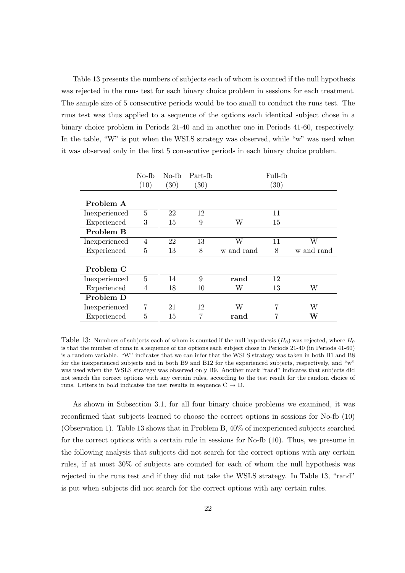Table 13 presents the numbers of subjects each of whom is counted if the null hypothesis was rejected in the runs test for each binary choice problem in sessions for each treatment. The sample size of 5 consecutive periods would be too small to conduct the runs test. The runs test was thus applied to a sequence of the options each identical subject chose in a binary choice problem in Periods 21-40 and in another one in Periods 41-60, respectively. In the table, "W" is put when the WSLS strategy was observed, while "w" was used when it was observed only in the first 5 consecutive periods in each binary choice problem.

|               | $No-fb$ | No-fb | Part-fb |            | Full-fb |            |
|---------------|---------|-------|---------|------------|---------|------------|
|               | (10)    | (30)  | (30)    |            | (30)    |            |
|               |         |       |         |            |         |            |
| Problem A     |         |       |         |            |         |            |
| Inexperienced | 5       | 22    | 12      |            | 11      |            |
| Experienced   | 3       | 15    | 9       | W          | 15      |            |
| Problem B     |         |       |         |            |         |            |
| Inexperienced | 4       | 22    | 13      | W          | 11      | W          |
| Experienced   | 5       | 13    | 8       | w and rand | 8       | w and rand |
|               |         |       |         |            |         |            |
| Problem C     |         |       |         |            |         |            |
| Inexperienced | 5       | 14    | 9       | rand       | 12      |            |
| Experienced   | 4       | 18    | 10      | W          | 13      | W          |
| Problem D     |         |       |         |            |         |            |
| Inexperienced | 7       | 21    | 12      | W          | 7       | W          |
| Experienced   | 5       | 15    | 7       | rand       |         | W          |

Table 13: Numbers of subjects each of whom is counted if the null hypothesis  $(H_0)$  was rejected, where  $H_0$ is that the number of runs in a sequence of the options each subject chose in Periods 21-40 (in Periods 41-60) is a random variable. "W" indicates that we can infer that the WSLS strategy was taken in both B1 and B8 for the inexperienced subjects and in both B9 and B12 for the experienced subjects, respectively, and "w" was used when the WSLS strategy was observed only B9. Another mark "rand" indicates that subjects did not search the correct options with any certain rules, according to the test result for the random choice of runs. Letters in bold indicates the test results in sequence C *→* D.

As shown in Subsection 3.1, for all four binary choice problems we examined, it was reconfirmed that subjects learned to choose the correct options in sessions for No-fb (10) (Observation 1). Table 13 shows that in Problem B, 40% of inexperienced subjects searched for the correct options with a certain rule in sessions for No-fb (10). Thus, we presume in the following analysis that subjects did not search for the correct options with any certain rules, if at most 30% of subjects are counted for each of whom the null hypothesis was rejected in the runs test and if they did not take the WSLS strategy. In Table 13, "rand" is put when subjects did not search for the correct options with any certain rules.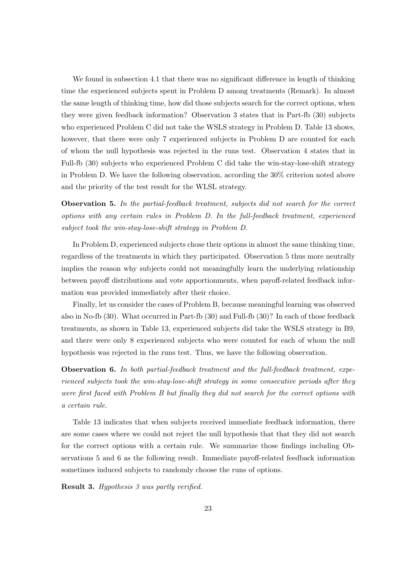We found in subsection 4.1 that there was no significant difference in length of thinking time the experienced subjects spent in Problem D among treatments (Remark). In almost the same length of thinking time, how did those subjects search for the correct options, when they were given feedback information? Observation 3 states that in Part-fb (30) subjects who experienced Problem C did not take the WSLS strategy in Problem D. Table 13 shows, however, that there were only 7 experienced subjects in Problem D are counted for each of whom the null hypothesis was rejected in the runs test. Observation 4 states that in Full-fb (30) subjects who experienced Problem C did take the win-stay-lose-shift strategy in Problem D. We have the following observation, according the 30% criterion noted above and the priority of the test result for the WLSL strategy.

**Observation 5.** *In the partial-feedback treatment, subjects did not search for the correct options with any certain rules in Problem D. In the full-feedback treatment, experienced subject took the win-stay-lose-shift strategy in Problem D.*

In Problem D, experienced subjects chose their options in almost the same thinking time, regardless of the treatments in which they participated. Observation 5 thus more neutrally implies the reason why subjects could not meaningfully learn the underlying relationship between payoff distributions and vote apportionments, when payoff-related feedback information was provided immediately after their choice.

Finally, let us consider the cases of Problem B, because meaningful learning was observed also in No-fb (30). What occurred in Part-fb (30) and Full-fb (30)? In each of those feedback treatments, as shown in Table 13, experienced subjects did take the WSLS strategy in B9, and there were only 8 experienced subjects who were counted for each of whom the null hypothesis was rejected in the runs test. Thus, we have the following observation.

**Observation 6.** *In both partial-feedback treatment and the full-feedback treatment, experienced subjects took the win-stay-lose-shift strategy in some consecutive periods after they were first faced with Problem B but finally they did not search for the correct options with a certain rule.*

Table 13 indicates that when subjects received immediate feedback information, there are some cases where we could not reject the null hypothesis that that they did not search for the correct options with a certain rule. We summarize those findings including Observations 5 and 6 as the following result. Immediate payoff-related feedback information sometimes induced subjects to randomly choose the runs of options.

**Result 3.** *Hypothesis 3 was partly verified.*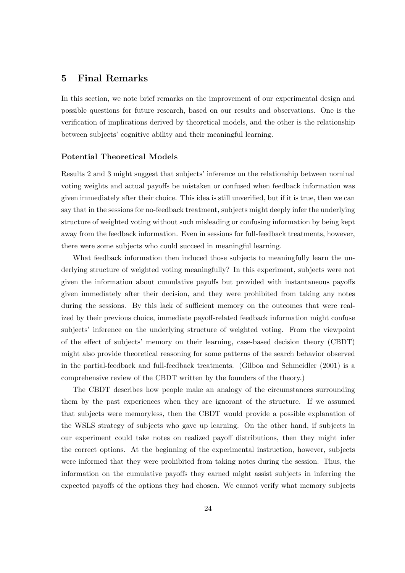# **5 Final Remarks**

In this section, we note brief remarks on the improvement of our experimental design and possible questions for future research, based on our results and observations. One is the verification of implications derived by theoretical models, and the other is the relationship between subjects' cognitive ability and their meaningful learning.

#### **Potential Theoretical Models**

Results 2 and 3 might suggest that subjects' inference on the relationship between nominal voting weights and actual payoffs be mistaken or confused when feedback information was given immediately after their choice. This idea is still unverified, but if it is true, then we can say that in the sessions for no-feedback treatment, subjects might deeply infer the underlying structure of weighted voting without such misleading or confusing information by being kept away from the feedback information. Even in sessions for full-feedback treatments, however, there were some subjects who could succeed in meaningful learning.

What feedback information then induced those subjects to meaningfully learn the underlying structure of weighted voting meaningfully? In this experiment, subjects were not given the information about cumulative payoffs but provided with instantaneous payoffs given immediately after their decision, and they were prohibited from taking any notes during the sessions. By this lack of sufficient memory on the outcomes that were realized by their previous choice, immediate payoff-related feedback information might confuse subjects' inference on the underlying structure of weighted voting. From the viewpoint of the effect of subjects' memory on their learning, case-based decision theory (CBDT) might also provide theoretical reasoning for some patterns of the search behavior observed in the partial-feedback and full-feedback treatments. (Gilboa and Schmeidler (2001) is a comprehensive review of the CBDT written by the founders of the theory.)

The CBDT describes how people make an analogy of the circumstances surrounding them by the past experiences when they are ignorant of the structure. If we assumed that subjects were memoryless, then the CBDT would provide a possible explanation of the WSLS strategy of subjects who gave up learning. On the other hand, if subjects in our experiment could take notes on realized payoff distributions, then they might infer the correct options. At the beginning of the experimental instruction, however, subjects were informed that they were prohibited from taking notes during the session. Thus, the information on the cumulative payoffs they earned might assist subjects in inferring the expected payoffs of the options they had chosen. We cannot verify what memory subjects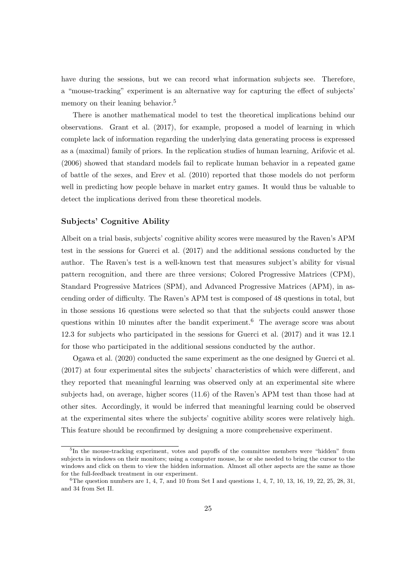have during the sessions, but we can record what information subjects see. Therefore, a "mouse-tracking" experiment is an alternative way for capturing the effect of subjects' memory on their leaning behavior.<sup>5</sup>

There is another mathematical model to test the theoretical implications behind our observations. Grant et al. (2017), for example, proposed a model of learning in which complete lack of information regarding the underlying data generating process is expressed as a (maximal) family of priors. In the replication studies of human learning, Arifovic et al. (2006) showed that standard models fail to replicate human behavior in a repeated game of battle of the sexes, and Erev et al. (2010) reported that those models do not perform well in predicting how people behave in market entry games. It would thus be valuable to detect the implications derived from these theoretical models.

#### **Subjects' Cognitive Ability**

Albeit on a trial basis, subjects' cognitive ability scores were measured by the Raven's APM test in the sessions for Guerci et al. (2017) and the additional sessions conducted by the author. The Raven's test is a well-known test that measures subject's ability for visual pattern recognition, and there are three versions; Colored Progressive Matrices (CPM), Standard Progressive Matrices (SPM), and Advanced Progressive Matrices (APM), in ascending order of difficulty. The Raven's APM test is composed of 48 questions in total, but in those sessions 16 questions were selected so that that the subjects could answer those questions within 10 minutes after the bandit experiment.<sup>6</sup> The average score was about 12.3 for subjects who participated in the sessions for Guerci et al. (2017) and it was 12.1 for those who participated in the additional sessions conducted by the author.

Ogawa et al. (2020) conducted the same experiment as the one designed by Guerci et al. (2017) at four experimental sites the subjects' characteristics of which were different, and they reported that meaningful learning was observed only at an experimental site where subjects had, on average, higher scores (11.6) of the Raven's APM test than those had at other sites. Accordingly, it would be inferred that meaningful learning could be observed at the experimental sites where the subjects' cognitive ability scores were relatively high. This feature should be reconfirmed by designing a more comprehensive experiment.

<sup>&</sup>lt;sup>5</sup>In the mouse-tracking experiment, votes and payoffs of the committee members were "hidden" from subjects in windows on their monitors; using a computer mouse, he or she needed to bring the cursor to the windows and click on them to view the hidden information. Almost all other aspects are the same as those for the full-feedback treatment in our experiment.

<sup>&</sup>lt;sup>6</sup>The question numbers are 1, 4, 7, and 10 from Set I and questions 1, 4, 7, 10, 13, 16, 19, 22, 25, 28, 31, and 34 from Set II.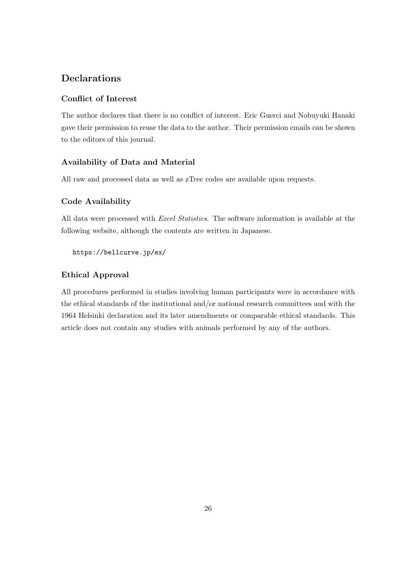# **Declarations**

#### **Conflict of Interest**

The author declares that there is no conflict of interest. Eric Guerci and Nobuyuki Hanaki gave their permission to reuse the data to the author. Their permission emails can be shown to the editors of this journal.

#### **Availability of Data and Material**

All raw and processed data as well as zTree codes are available upon requests.

#### **Code Availability**

All data were processed with *Excel Statistics*. The software information is available at the following website, although the contents are written in Japanese.

https://bellcurve.jp/ex/

#### **Ethical Approval**

All procedures performed in studies involving human participants were in accordance with the ethical standards of the institutional and/or national research committees and with the 1964 Helsinki declaration and its later amendments or comparable ethical standards. This article does not contain any studies with animals performed by any of the authors.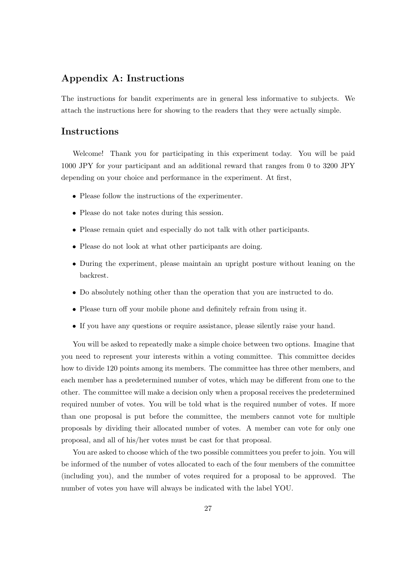# **Appendix A: Instructions**

The instructions for bandit experiments are in general less informative to subjects. We attach the instructions here for showing to the readers that they were actually simple.

# **Instructions**

Welcome! Thank you for participating in this experiment today. You will be paid 1000 JPY for your participant and an additional reward that ranges from 0 to 3200 JPY depending on your choice and performance in the experiment. At first,

- Please follow the instructions of the experimenter.
- Please do not take notes during this session.
- Please remain quiet and especially do not talk with other participants.
- Please do not look at what other participants are doing.
- *•* During the experiment, please maintain an upright posture without leaning on the backrest.
- *•* Do absolutely nothing other than the operation that you are instructed to do.
- Please turn off your mobile phone and definitely refrain from using it.
- If you have any questions or require assistance, please silently raise your hand.

You will be asked to repeatedly make a simple choice between two options. Imagine that you need to represent your interests within a voting committee. This committee decides how to divide 120 points among its members. The committee has three other members, and each member has a predetermined number of votes, which may be different from one to the other. The committee will make a decision only when a proposal receives the predetermined required number of votes. You will be told what is the required number of votes. If more than one proposal is put before the committee, the members cannot vote for multiple proposals by dividing their allocated number of votes. A member can vote for only one proposal, and all of his/her votes must be cast for that proposal.

You are asked to choose which of the two possible committees you prefer to join. You will be informed of the number of votes allocated to each of the four members of the committee (including you), and the number of votes required for a proposal to be approved. The number of votes you have will always be indicated with the label YOU.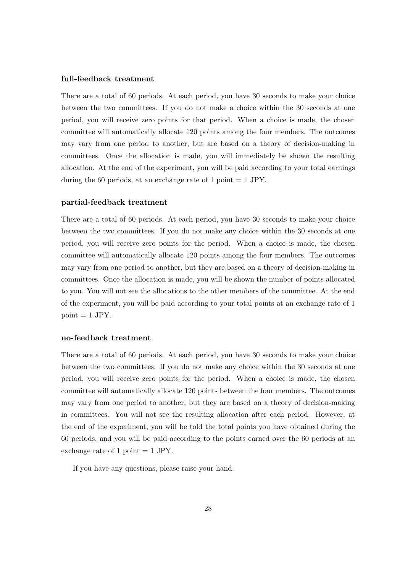#### **full-feedback treatment**

There are a total of 60 periods. At each period, you have 30 seconds to make your choice between the two committees. If you do not make a choice within the 30 seconds at one period, you will receive zero points for that period. When a choice is made, the chosen committee will automatically allocate 120 points among the four members. The outcomes may vary from one period to another, but are based on a theory of decision-making in committees. Once the allocation is made, you will immediately be shown the resulting allocation. At the end of the experiment, you will be paid according to your total earnings during the 60 periods, at an exchange rate of 1 point  $= 1$  JPY.

#### **partial-feedback treatment**

There are a total of 60 periods. At each period, you have 30 seconds to make your choice between the two committees. If you do not make any choice within the 30 seconds at one period, you will receive zero points for the period. When a choice is made, the chosen committee will automatically allocate 120 points among the four members. The outcomes may vary from one period to another, but they are based on a theory of decision-making in committees. Once the allocation is made, you will be shown the number of points allocated to you. You will not see the allocations to the other members of the committee. At the end of the experiment, you will be paid according to your total points at an exchange rate of 1  $point = 1$  JPY.

#### **no-feedback treatment**

There are a total of 60 periods. At each period, you have 30 seconds to make your choice between the two committees. If you do not make any choice within the 30 seconds at one period, you will receive zero points for the period. When a choice is made, the chosen committee will automatically allocate 120 points between the four members. The outcomes may vary from one period to another, but they are based on a theory of decision-making in committees. You will not see the resulting allocation after each period. However, at the end of the experiment, you will be told the total points you have obtained during the 60 periods, and you will be paid according to the points earned over the 60 periods at an exchange rate of 1 point  $= 1$  JPY.

If you have any questions, please raise your hand.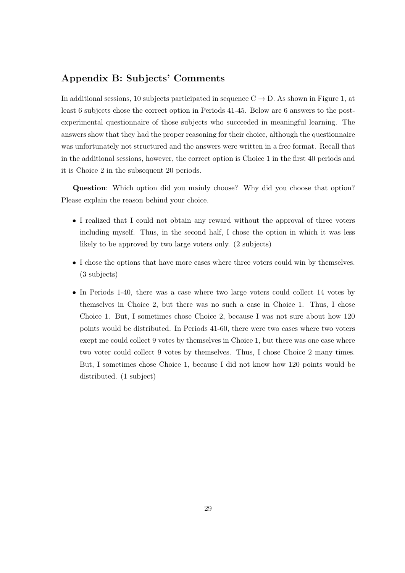# **Appendix B: Subjects' Comments**

In additional sessions, 10 subjects participated in sequence C *→* D. As shown in Figure 1, at least 6 subjects chose the correct option in Periods 41-45. Below are 6 answers to the postexperimental questionnaire of those subjects who succeeded in meaningful learning. The answers show that they had the proper reasoning for their choice, although the questionnaire was unfortunately not structured and the answers were written in a free format. Recall that in the additional sessions, however, the correct option is Choice 1 in the first 40 periods and it is Choice 2 in the subsequent 20 periods.

**Question**: Which option did you mainly choose? Why did you choose that option? Please explain the reason behind your choice.

- *•* I realized that I could not obtain any reward without the approval of three voters including myself. Thus, in the second half, I chose the option in which it was less likely to be approved by two large voters only. (2 subjects)
- I chose the options that have more cases where three voters could win by themselves. (3 subjects)
- In Periods 1-40, there was a case where two large voters could collect 14 votes by themselves in Choice 2, but there was no such a case in Choice 1. Thus, I chose Choice 1. But, I sometimes chose Choice 2, because I was not sure about how 120 points would be distributed. In Periods 41-60, there were two cases where two voters exept me could collect 9 votes by themselves in Choice 1, but there was one case where two voter could collect 9 votes by themselves. Thus, I chose Choice 2 many times. But, I sometimes chose Choice 1, because I did not know how 120 points would be distributed. (1 subject)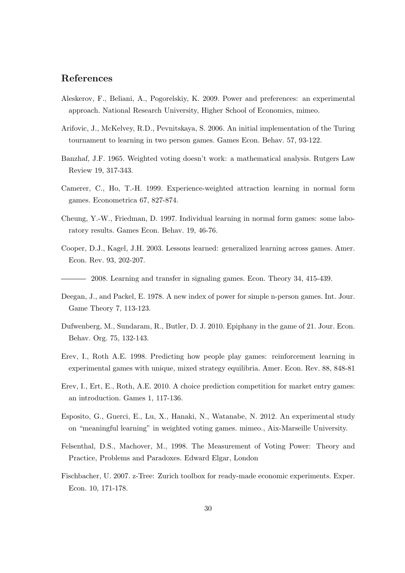# **References**

- Aleskerov, F., Beliani, A., Pogorelskiy, K. 2009. Power and preferences: an experimental approach. National Research University, Higher School of Economics, mimeo.
- Arifovic, J., McKelvey, R.D., Pevnitskaya, S. 2006. An initial implementation of the Turing tournament to learning in two person games. Games Econ. Behav. 57, 93-122.
- Banzhaf, J.F. 1965. Weighted voting doesn't work: a mathematical analysis. Rutgers Law Review 19, 317-343.
- Camerer, C., Ho, T.-H. 1999. Experience-weighted attraction learning in normal form games. Econometrica 67, 827-874.
- Cheung, Y.-W., Friedman, D. 1997. Individual learning in normal form games: some laboratory results. Games Econ. Behav. 19, 46-76.
- Cooper, D.J., Kagel, J.H. 2003. Lessons learned: generalized learning across games. Amer. Econ. Rev. 93, 202-207.

2008. Learning and transfer in signaling games. Econ. Theory 34, 415-439.

- Deegan, J., and Packel, E. 1978. A new index of power for simple n-person games. Int. Jour. Game Theory 7, 113-123.
- Dufwenberg, M., Sundaram, R., Butler, D. J. 2010. Epiphany in the game of 21. Jour. Econ. Behav. Org. 75, 132-143.
- Erev, I., Roth A.E. 1998. Predicting how people play games: reinforcement learning in experimental games with unique, mixed strategy equilibria. Amer. Econ. Rev. 88, 848-81
- Erev, I., Ert, E., Roth, A.E. 2010. A choice prediction competition for market entry games: an introduction. Games 1, 117-136.
- Esposito, G., Guerci, E., Lu, X., Hanaki, N., Watanabe, N. 2012. An experimental study on "meaningful learning" in weighted voting games. mimeo., Aix-Marseille University.
- Felsenthal, D.S., Machover, M., 1998. The Measurement of Voting Power: Theory and Practice, Problems and Paradoxes. Edward Elgar, London
- Fischbacher, U. 2007. z-Tree: Zurich toolbox for ready-made economic experiments. Exper. Econ. 10, 171-178.